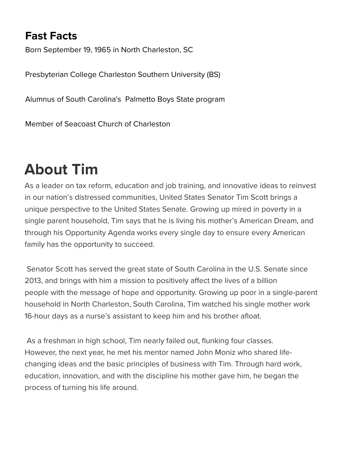## **Fast Facts**

Born September 19, 1965 in North Charleston, SC

Presbyterian College Charleston Southern Un[iversity \(BS\)](http://www.scott.testing.senate.gov/imo/media/image/Scott_Tim-012213-16025-0016-rb-CFF.jpg)

Alumnus of South Carolina's Palmetto Boys S[tate program](http://scott.testing.senate.gov/download/official-biography)

Member of Seacoast Church of Charleston

## **About Tim**

As a leader on tax reform, education and job training, and innovative ideas to reinvest in our nation's distressed communities, United States Senator Tim Scott brings a unique perspective to the United States Senate. Growing up mired in poverty in a single parent household, Tim says that he is living his mother's American Dream, and through his Opportunity Agenda works every single day to ensure every American family has the opportunity to succeed.

 Senator Scott has served the great state of South Carolina in the U.S. Senate since 2013, and brings with him a mission to positively affect the lives of a billion people with the message of hope and opportunity. Growing up poor in a single-parent household in North Charleston, South Carolina, Tim watched his single mother work 16-hour days as a nurse's assistant to keep him and his brother afloat.

 As a freshman in high school, Tim nearly failed out, flunking four classes. However, the next year, he met his mentor named John Moniz who shared lifechanging ideas and the basic principles of business with Tim. Through hard work, education, innovation, and with the discipline his mother gave him, he began the process of turning his life around.